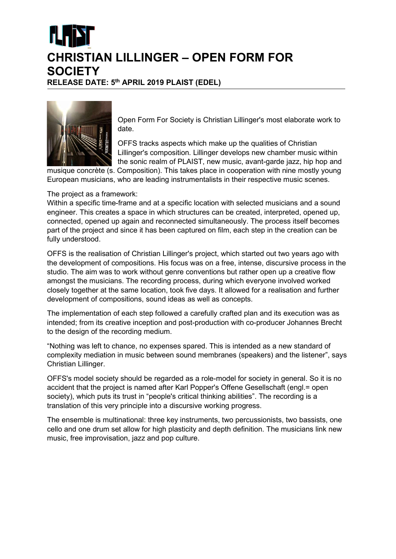## CHRISTIAN LILLINGER – OPEN FORM FOR **SOCIETY** RELEASE DATE: 5th APRIL 2019 PLAIST (EDEL)

Open Form For Society is Christian Lillinger's most elaborate work to date.

OFFS tracks aspects which make up the qualities of Christian Lillinger's composition. Lillinger develops new chamber music within the sonic realm of PLAIST, new music, avant-garde jazz, hip hop and

musique concrète (s. Composition). This takes place in cooperation with nine mostly young European musicians, who are leading instrumentalists in their respective music scenes.

## The project as a framework:

Within a specific time-frame and at a specific location with selected musicians and a sound engineer. This creates a space in which structures can be created, interpreted, opened up, connected, opened up again and reconnected simultaneously. The process itself becomes part of the project and since it has been captured on film, each step in the creation can be fully understood.

OFFS is the realisation of Christian Lillinger's project, which started out two years ago with the development of compositions. His focus was on a free, intense, discursive process in the studio. The aim was to work without genre conventions but rather open up a creative flow amongst the musicians. The recording process, during which everyone involved worked closely together at the same location, took five days. It allowed for a realisation and further development of compositions, sound ideas as well as concepts.

The implementation of each step followed a carefully crafted plan and its execution was as intended; from its creative inception and post-production with co-producer Johannes Brecht to the design of the recording medium.

"Nothing was left to chance, no expenses spared. This is intended as a new standard of complexity mediation in music between sound membranes (speakers) and the listener", says Christian Lillinger.

OFFS's model society should be regarded as a role-model for society in general. So it is no accident that the project is named after Karl Popper's Offene Gesellschaft (engl.= open society), which puts its trust in "people's critical thinking abilities". The recording is a translation of this very principle into a discursive working progress.

The ensemble is multinational: three key instruments, two percussionists, two bassists, one cello and one drum set allow for high plasticity and depth definition. The musicians link new music, free improvisation, jazz and pop culture.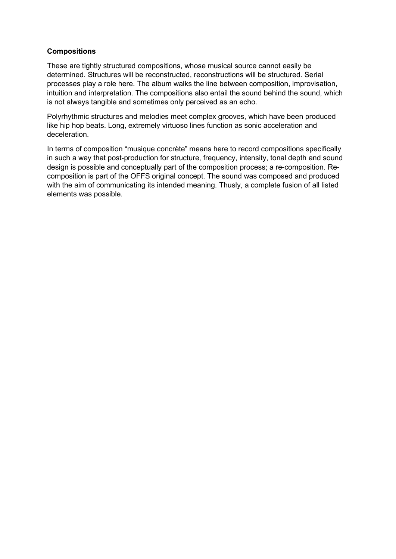## **Compositions**

These are tightly structured compositions, whose musical source cannot easily be determined. Structures will be reconstructed, reconstructions will be structured. Serial processes play a role here. The album walks the line between composition, improvisation, intuition and interpretation. The compositions also entail the sound behind the sound, which is not always tangible and sometimes only perceived as an echo.

Polyrhythmic structures and melodies meet complex grooves, which have been produced like hip hop beats. Long, extremely virtuoso lines function as sonic acceleration and deceleration.

In terms of composition "musique concrète" means here to record compositions specifically in such a way that post-production for structure, frequency, intensity, tonal depth and sound design is possible and conceptually part of the composition process; a re-composition. Recomposition is part of the OFFS original concept. The sound was composed and produced with the aim of communicating its intended meaning. Thusly, a complete fusion of all listed elements was possible.